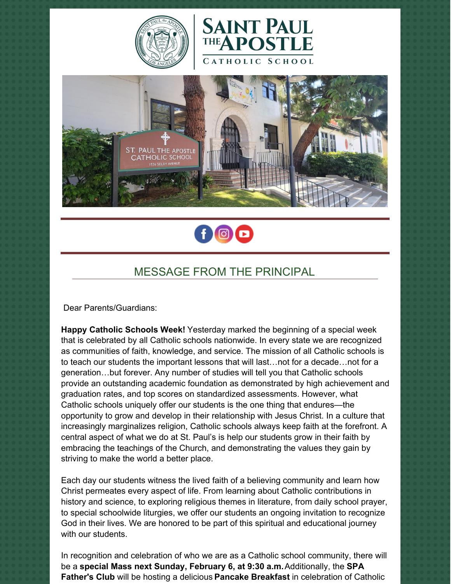







# MESSAGE FROM THE PRINCIPAL

Dear Parents/Guardians:

**Happy Catholic Schools Week!** Yesterday marked the beginning of a special week that is celebrated by all Catholic schools nationwide. In every state we are recognized as communities of faith, knowledge, and service. The mission of all Catholic schools is to teach our students the important lessons that will last…not for a decade…not for a generation…but forever. Any number of studies will tell you that Catholic schools provide an outstanding academic foundation as demonstrated by high achievement and graduation rates, and top scores on standardized assessments. However, what Catholic schools uniquely offer our students is the one thing that endures—the opportunity to grow and develop in their relationship with Jesus Christ. In a culture that increasingly marginalizes religion, Catholic schools always keep faith at the forefront. A central aspect of what we do at St. Paul's is help our students grow in their faith by embracing the teachings of the Church, and demonstrating the values they gain by striving to make the world a better place.

Each day our students witness the lived faith of a believing community and learn how Christ permeates every aspect of life. From learning about Catholic contributions in history and science, to exploring religious themes in literature, from daily school prayer, to special schoolwide liturgies, we offer our students an ongoing invitation to recognize God in their lives. We are honored to be part of this spiritual and educational journey with our students.

In recognition and celebration of who we are as a Catholic school community, there will be a **special Mass next Sunday, February 6, at 9:30 a.m.**Additionally, the **SPA Father's Club** will be hosting a delicious **Pancake Breakfast** in celebration of Catholic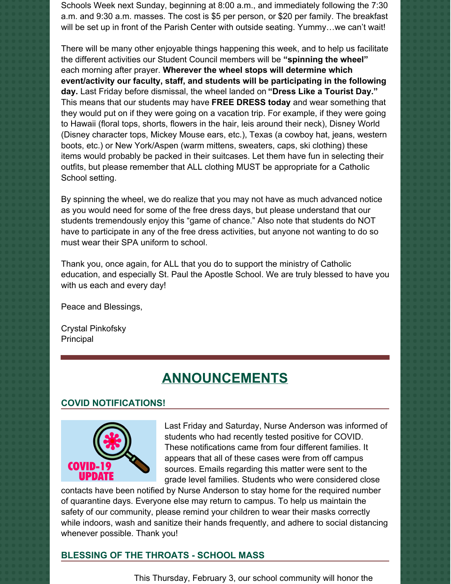Schools Week next Sunday, beginning at 8:00 a.m., and immediately following the 7:30 a.m. and 9:30 a.m. masses. The cost is \$5 per person, or \$20 per family. The breakfast will be set up in front of the Parish Center with outside seating. Yummy...we can't wait!

There will be many other enjoyable things happening this week, and to help us facilitate the different activities our Student Council members will be **"spinning the wheel"** each morning after prayer. **Wherever the wheel stops will determine which event/activity our faculty, staff, and students will be participating in the following day.** Last Friday before dismissal, the wheel landed on **"Dress Like a Tourist Day."** This means that our students may have **FREE DRESS today** and wear something that they would put on if they were going on a vacation trip. For example, if they were going to Hawaii (floral tops, shorts, flowers in the hair, leis around their neck), Disney World (Disney character tops, Mickey Mouse ears, etc.), Texas (a cowboy hat, jeans, western boots, etc.) or New York/Aspen (warm mittens, sweaters, caps, ski clothing) these items would probably be packed in their suitcases. Let them have fun in selecting their outfits, but please remember that ALL clothing MUST be appropriate for a Catholic School setting.

By spinning the wheel, we do realize that you may not have as much advanced notice as you would need for some of the free dress days, but please understand that our students tremendously enjoy this "game of chance." Also note that students do NOT have to participate in any of the free dress activities, but anyone not wanting to do so must wear their SPA uniform to school.

Thank you, once again, for ALL that you do to support the ministry of Catholic education, and especially St. Paul the Apostle School. We are truly blessed to have you with us each and every day!

Peace and Blessings,

Crystal Pinkofsky Principal

# **ANNOUNCEMENTS**

### **COVID NOTIFICATIONS!**



Last Friday and Saturday, Nurse Anderson was informed of students who had recently tested positive for COVID. These notifications came from four different families. It appears that all of these cases were from off campus sources. Emails regarding this matter were sent to the grade level families. Students who were considered close

contacts have been notified by Nurse Anderson to stay home for the required number of quarantine days. Everyone else may return to campus. To help us maintain the safety of our community, please remind your children to wear their masks correctly while indoors, wash and sanitize their hands frequently, and adhere to social distancing whenever possible. Thank you!

#### **BLESSING OF THE THROATS - SCHOOL MASS**

This Thursday, February 3, our school community will honor the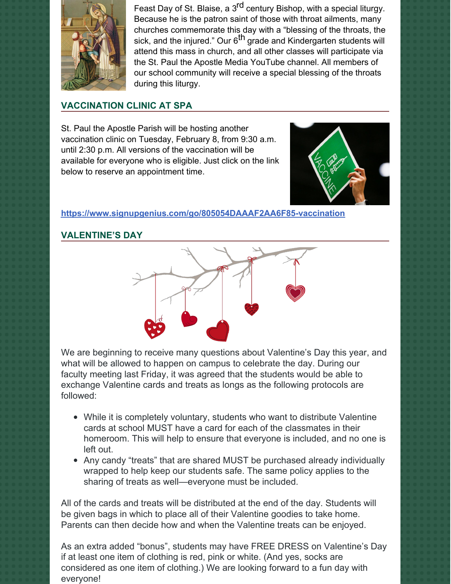

Feast Day of St. Blaise, a 3<sup>rd</sup> century Bishop, with a special liturgy. Because he is the patron saint of those with throat ailments, many churches commemorate this day with a "blessing of the throats, the sick, and the injured." Our 6<sup>th</sup> grade and Kindergarten students will attend this mass in church, and all other classes will participate via the St. Paul the Apostle Media YouTube channel. All members of our school community will receive a special blessing of the throats during this liturgy.

## **VACCINATION CLINIC AT SPA**

St. Paul the Apostle Parish will be hosting another vaccination clinic on Tuesday, February 8, from 9:30 a.m. until 2:30 p.m. All versions of the vaccination will be available for everyone who is eligible. Just click on the link below to reserve an appointment time.



**<https://www.signupgenius.com/go/805054DAAAF2AA6F85-vaccination>**

## **VALENTINE'S DAY**



We are beginning to receive many questions about Valentine's Day this year, and what will be allowed to happen on campus to celebrate the day. During our faculty meeting last Friday, it was agreed that the students would be able to exchange Valentine cards and treats as longs as the following protocols are followed:

- While it is completely voluntary, students who want to distribute Valentine cards at school MUST have a card for each of the classmates in their homeroom. This will help to ensure that everyone is included, and no one is left out.
- Any candy "treats" that are shared MUST be purchased already individually wrapped to help keep our students safe. The same policy applies to the sharing of treats as well—everyone must be included.

All of the cards and treats will be distributed at the end of the day. Students will be given bags in which to place all of their Valentine goodies to take home. Parents can then decide how and when the Valentine treats can be enjoyed.

As an extra added "bonus", students may have FREE DRESS on Valentine's Day if at least one item of clothing is red, pink or white. (And yes, socks are considered as one item of clothing.) We are looking forward to a fun day with everyone!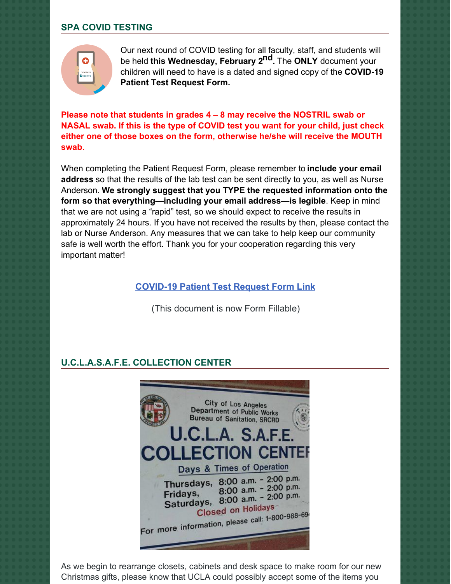## **SPA COVID TESTING**



Our next round of COVID testing for all faculty, staff, and students will be held **this Wednesday, February 2 nd.** The **ONLY** document your children will need to have is a dated and signed copy of the **COVID-19 Patient Test Request Form.**

**Please note that students in grades 4 – 8 may receive the NOSTRIL swab or NASAL swab. If this is the type of COVID test you want for your child, just check either one of those boxes on the form, otherwise he/she will receive the MOUTH swab.**

When completing the Patient Request Form, please remember to **include your email address** so that the results of the lab test can be sent directly to you, as well as Nurse Anderson. **We strongly suggest that you TYPE the requested information onto the form so that everything—including your email address—is legible**. Keep in mind that we are not using a "rapid" test, so we should expect to receive the results in approximately 24 hours. If you have not received the results by then, please contact the lab or Nurse Anderson. Any measures that we can take to help keep our community safe is well worth the effort. Thank you for your cooperation regarding this very important matter!

#### **[COVID-19](https://school.sp-apostle.org/wp-content/uploads/2021/11/PATIENT-REQ-FORM-FILLABLE.pdf) Patient Test Request Form Link**

(This document is now Form Fillable)

## **U.C.L.A.S.A.F.E. COLLECTION CENTER**



As we begin to rearrange closets, cabinets and desk space to make room for our new Christmas gifts, please know that UCLA could possibly accept some of the items you